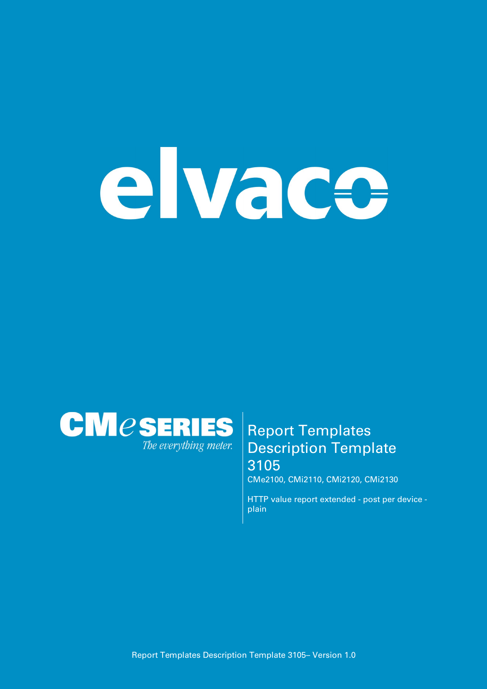# elvace



## **Report Templates Description Template 3105**

**CMe2100, CMi2110, CMi2120, CMi2130**

**HTTP value report extended - post per device plain**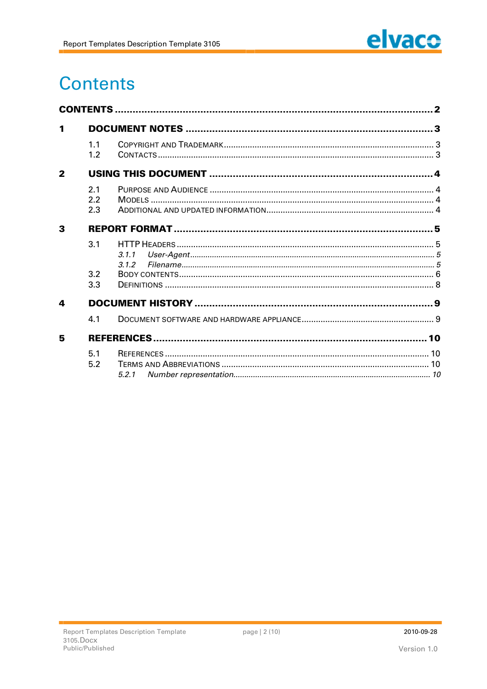

# **Contents**

| 1                       |     |       |  |
|-------------------------|-----|-------|--|
|                         | 1.1 |       |  |
|                         | 1.2 |       |  |
| $\overline{\mathbf{2}}$ |     |       |  |
|                         | 2.1 |       |  |
|                         | 2.2 |       |  |
|                         | 2.3 |       |  |
| 3                       |     |       |  |
|                         | 3.1 |       |  |
|                         |     | 3.1.1 |  |
|                         |     | 3.1.2 |  |
|                         | 3.2 |       |  |
|                         | 3.3 |       |  |
| 4                       |     |       |  |
|                         | 4.1 |       |  |
| 5                       |     |       |  |
|                         | 5.1 |       |  |
|                         | 5.2 |       |  |
|                         |     |       |  |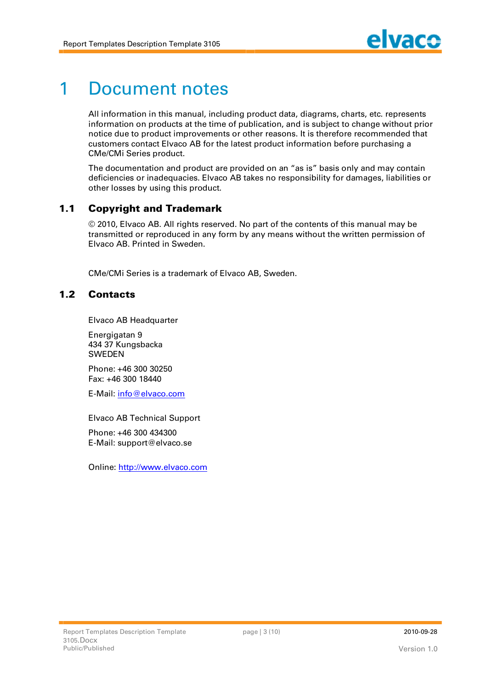# **1 Document notes**

**All information in this manual, including product data, diagrams, charts, etc. represents information on products at the time of publication, and is subject to change without prior notice due to product improvements or other reasons. It is therefore recommended that customers contact Elvaco AB for the latest product information before purchasing a CMe/CMi Series product.**

**The documentation and product are provided on an "as is" basis only and may contain deficiencies or inadequacies. Elvaco AB takes no responsibility for damages, liabilities or other losses by using this product.**

### **1.1 Copyright and Trademark**

**© 2010, Elvaco AB. All rights reserved. No part of the contents of this manual may be transmitted or reproduced in any form by any means without the written permission of Elvaco AB. Printed in Sweden.**

**CMe/CMi Series is a trademark of Elvaco AB, Sweden.**

### **1.2 Cont act s**

**Elvaco AB Headquarter**

**Energigatan 9 434 37 Kungsbacka SWEDEN**

**Phone: +46 300 30250 Fax: +46 300 18440**

**E-Mail: [info@elvaco.com](mailto:info@elvaco.com)**

**Elvaco AB Technical Support**

**Phone: +46 300 434300 E-Mail: [support@elvaco.se](mailto:support@elvaco.se)**

**Online: http://www.elvaco.com**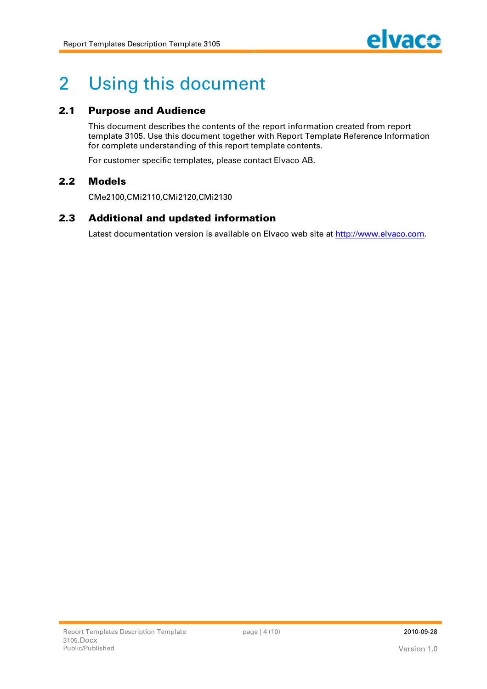

# **2 Using this document**

### **2.1 Purpose and Audience**

**This document describes the contents of the report information created from report template 3105. Use this document together with Report Template Reference Information for complete understanding of this report template contents.**

**For customer specific templates, please contact Elvaco AB.**

### **2.2 M odels**

**CMe2100,CMi2110,CMi2120,CMi2130**

### **2.3** Additional and updated information

**Latest documentation version is available on Elvaco web site at http://www.elvaco.com.**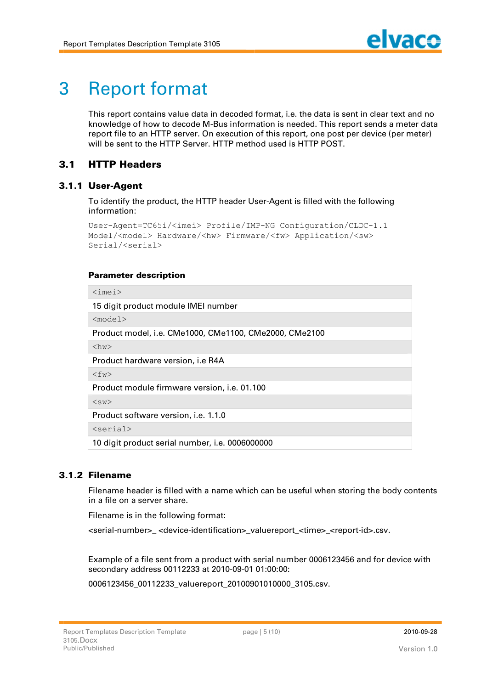# **3 Report format**

**This report contains value data in decoded format, i.e. the data is sent in clear text and no knowledge of how to decode M-Bus information is needed. This report sends a meter data report file to an HTTP server. On execution of this report, one post per device (per meter) will be sent to the HTTP Server. HTTP method used is HTTP POST.**

### **3.1 HTTP Headers**

### **3.1.1 User-A gent**

**To identify the product, the HTTP header User-Agent is filled with the following information:**

```
User-Agent=TC65i/<imei> Profile/IMP-NG Configuration/CLDC-1.1 
Model/<model> Hardware/<hw> Firmware/<fw> Application/<sw> 
Serial/<serial>
```
### **Parameter description**

| $\langle$ imei $\rangle$                               |  |  |
|--------------------------------------------------------|--|--|
| 15 digit product module IMEI number                    |  |  |
| $<$ model $>$                                          |  |  |
| Product model, i.e. CMe1000, CMe1100, CMe2000, CMe2100 |  |  |
| $\langle$ hw $\rangle$                                 |  |  |
| Product hardware version, i.e R4A                      |  |  |
| $\langle$ fw $\rangle$                                 |  |  |
| Product module firmware version, i.e. 01.100           |  |  |
| $<$ sw $>$                                             |  |  |
| Product software version, <i>i.e.</i> 1.1.0            |  |  |
| $<$ serial>                                            |  |  |
| 10 digit product serial number, i.e. 0006000000        |  |  |

### **3.1.2 Filenam e**

**Filename header is filled with a name which can be useful when storing the body contents in a file on a server share.**

**Filename is in the following format:**

**<serial-number>\_ <device-identification>\_valuereport\_<time>\_<report-id>.csv.**

**Example of a file sent from a product with serial number 0006123456 and for device with secondary address 00112233 at 2010-09-01 01:00:00:**

**0006123456\_00112233\_valuereport\_20100901010000\_3105.csv.**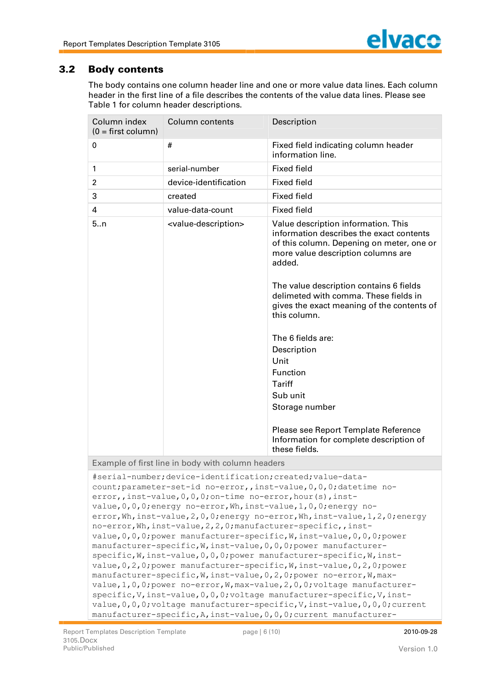### **3.2 Body contents**

**The body contains one column header line and one or more value data lines. Each column header in the first line of a file describes the contents of the value data lines. Please see Table 1 for column header descriptions.**

| Column index<br>$(0 = first column)$ | Column contents                                                                                                            | Description                                                                                                                                                                                                                                                                                                                                                                                                                                                                                                                                                                                                                                                                                                                                                                                                                                                                                                                                                                                                         |
|--------------------------------------|----------------------------------------------------------------------------------------------------------------------------|---------------------------------------------------------------------------------------------------------------------------------------------------------------------------------------------------------------------------------------------------------------------------------------------------------------------------------------------------------------------------------------------------------------------------------------------------------------------------------------------------------------------------------------------------------------------------------------------------------------------------------------------------------------------------------------------------------------------------------------------------------------------------------------------------------------------------------------------------------------------------------------------------------------------------------------------------------------------------------------------------------------------|
| 0                                    | #                                                                                                                          | Fixed field indicating column header<br>information line.                                                                                                                                                                                                                                                                                                                                                                                                                                                                                                                                                                                                                                                                                                                                                                                                                                                                                                                                                           |
| 1                                    | serial-number                                                                                                              | <b>Fixed field</b>                                                                                                                                                                                                                                                                                                                                                                                                                                                                                                                                                                                                                                                                                                                                                                                                                                                                                                                                                                                                  |
| $\overline{2}$                       | device-identification                                                                                                      | <b>Fixed field</b>                                                                                                                                                                                                                                                                                                                                                                                                                                                                                                                                                                                                                                                                                                                                                                                                                                                                                                                                                                                                  |
| 3                                    | created                                                                                                                    | <b>Fixed field</b>                                                                                                                                                                                                                                                                                                                                                                                                                                                                                                                                                                                                                                                                                                                                                                                                                                                                                                                                                                                                  |
| 4                                    | value-data-count                                                                                                           | <b>Fixed field</b>                                                                                                                                                                                                                                                                                                                                                                                                                                                                                                                                                                                                                                                                                                                                                                                                                                                                                                                                                                                                  |
| 5n                                   | <value-description></value-description>                                                                                    | Value description information. This<br>information describes the exact contents<br>of this column. Depening on meter, one or<br>more value description columns are<br>added.<br>The value description contains 6 fields<br>delimeted with comma. These fields in<br>gives the exact meaning of the contents of<br>this column.<br>The 6 fields are:<br>Description<br>Unit<br><b>Function</b><br><b>Tariff</b><br>Sub unit<br>Storage number<br>Please see Report Template Reference<br>Information for complete description of<br>these fields.                                                                                                                                                                                                                                                                                                                                                                                                                                                                    |
|                                      | Example of first line in body with column headers                                                                          |                                                                                                                                                                                                                                                                                                                                                                                                                                                                                                                                                                                                                                                                                                                                                                                                                                                                                                                                                                                                                     |
|                                      | #serial-number;device-identification;created;value-data-<br>error,, inst-value, 0, 0, 0; on-time no-error, hour (s), inst- | count; parameter-set-id no-error,, inst-value, 0, 0, 0; datetime no-<br>value, 0, 0, 0; energy no-error, Wh, inst-value, 1, 0, 0; energy no-<br>error, Wh, inst-value, 2, 0, 0; energy no-error, Wh, inst-value, 1, 2, 0; energy<br>no-error, Wh, inst-value, 2, 2, 0; manufacturer-specific, , inst-<br>value, 0, 0, 0; power manufacturer-specific, W, inst-value, 0, 0, 0; power<br>manufacturer-specific, W, inst-value, 0, 0, 0; power manufacturer-<br>specific, W, inst-value, 0, 0, 0; power manufacturer-specific, W, inst-<br>value, 0, 2, 0; power manufacturer-specific, W, inst-value, 0, 2, 0; power<br>manufacturer-specific, W, inst-value, 0, 2, 0; power no-error, W, max-<br>value, 1, 0, 0; power no-error, W, max-value, 2, 0, 0; voltage manufacturer-<br>specific, V, inst-value, 0, 0, 0; voltage manufacturer-specific, V, inst-<br>value, 0, 0, 0; voltage manufacturer-specific, V, inst-value, 0, 0, 0; current<br>manufacturer-specific, A, inst-value, 0, 0, 0; current manufacturer- |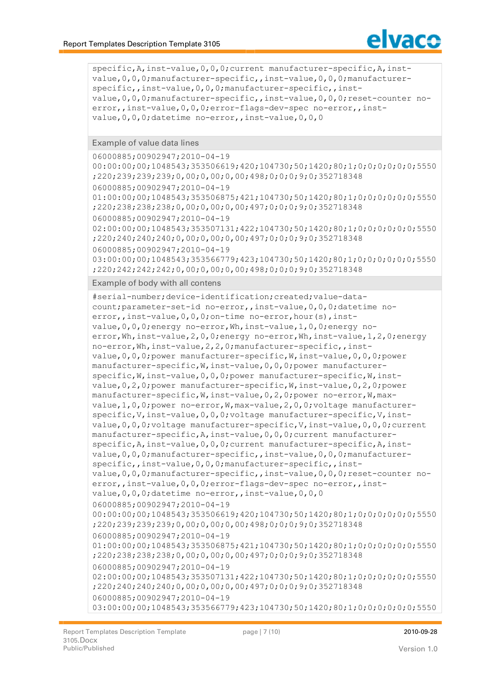

```
specific, A, inst-value, 0, 0, 0; current manufacturer-specific, A, inst-
value,0,0,0;manufacturer-specific,,inst-value,0,0,0;manufacturer-
specific,, inst-value, 0, 0, 0; manufacturer-specific,, inst-
value,0,0,0;manufacturer-specific,,inst-value,0,0,0;reset-counter no-
error,,inst-value,0,0,0;error-flags-dev-spec no-error,,inst-
value, 0, 0, 0; datetime no-error,, inst-value, 0, 0, 0
```
**Example of value data lines**

```
06000885;00902947;2010-04-19 
00:00:00;00;1048543;353506619;420;104730;50;1420;80;1;0;0;0;0;0;0;5550
;220;239;239;239;0,00;0,00;0,00;498;0;0;0;9;0;352718348
06000885;00902947;2010-04-19 
01:00:00;00;1048543;353506875;421;104730;50;1420;80;1;0;0;0;0;0;0;5550
;220;238;238;238;0,00;0,00;0,00;497;0;0;0;9;0;352718348
06000885;00902947;2010-04-19 
02:00:00;00;1048543;353507131;422;104730;50;1420;80;1;0;0;0;0;0;0;5550
;220;240;240;240;0,00;0,00;0,00;497;0;0;0;9;0;352718348
06000885;00902947;2010-04-19 
03:00:00;00;1048543;353566779;423;104730;50;1420;80;1;0;0;0;0;0;0;5550
;220;242;242;242;0,00;0,00;0,00;498;0;0;0;9;0;352718348
```
**Example of body with all contens**

```
#serial-number;device-identification;created;value-data-
count;parameter-set-id no-error,,inst-value,0,0,0;datetime no-
error,, inst-value, 0, 0, 0; on-time no-error, hour(s), inst-
value,0,0,0;energy no-error,Wh,inst-value,1,0,0;energy no-
error, Wh, inst-value, 2, 0, 0; energy no-error, Wh, inst-value, 1, 2, 0; energy
no-error,Wh,inst-value,2,2,0;manufacturer-specific,,inst-
value,0,0,0;power manufacturer-specific,W,inst-value,0,0,0;power 
manufacturer-specific,W,inst-value,0,0,0;power manufacturer-
specific,W,inst-value,0,0,0;power manufacturer-specific,W,inst-
value,0,2,0;power manufacturer-specific,W,inst-value,0,2,0;power 
manufacturer-specific,W,inst-value,0,2,0;power no-error,W,max-
value,1,0,0;power no-error,W,max-value,2,0,0;voltage manufacturer-
specific, V, inst-value, 0, 0, 0; voltage manufacturer-specific, V, inst-
value, 0, 0, 0; voltage manufacturer-specific, V, inst-value, 0, 0, 0; current
manufacturer-specific,A,inst-value,0,0,0;current manufacturer-
specific, A, inst-value, 0, 0, 0; current manufacturer-specific, A, inst-
value,0,0,0;manufacturer-specific,,inst-value,0,0,0;manufacturer-
specific,,inst-value, 0, 0,0;manufacturer-specific,,inst-
value,0,0,0;manufacturer-specific,,inst-value,0,0,0;reset-counter no-
error,,inst-value,0,0,0;error-flags-dev-spec no-error,,inst-
value, 0, 0, 0; datetime no-error,, inst-value, 0, 0, 0
06000885;00902947;2010-04-19 
00:00:00;00;1048543;353506619;420;104730;50;1420;80;1;0;0;0;0;0;0;5550
;220;239;239;239;0,00;0,00;0,00;498;0;0;0;9;0;352718348
06000885;00902947;2010-04-19 
01:00:00;00;1048543;353506875;421;104730;50;1420;80;1;0;0;0;0;0;0;5550
;220;238;238;238;0,00;0,00;0,00;497;0;0;0;9;0;352718348
06000885;00902947;2010-04-19 
02:00:00;00;1048543;353507131;422;104730;50;1420;80;1;0;0;0;0;0;0;5550
;220;240;240;240;0,00;0,00;0,00;497;0;0;0;9;0;352718348
06000885;00902947;2010-04-19 
03:00:00;00;1048543;353566779;423;104730;50;1420;80;1;0;0;0;0;0;0;5550
```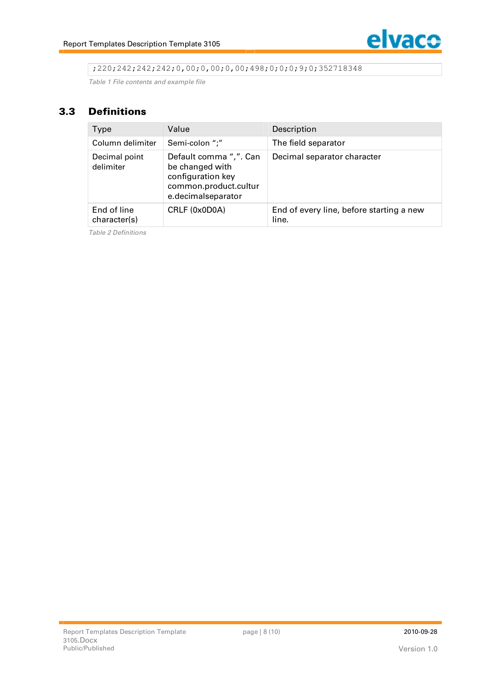;220;242;242;242;0,00;0,00;0,00;498;0;0;0;9;0;352718348

*Table 1 File contents and example file*

### **3.3 Def init ions**

| <b>Type</b>                 | Value                                                                                                         | Description                                       |
|-----------------------------|---------------------------------------------------------------------------------------------------------------|---------------------------------------------------|
| Column delimiter            | Semi-colon ";"                                                                                                | The field separator                               |
| Decimal point<br>delimiter  | Default comma ",". Can<br>be changed with<br>configuration key<br>common.product.cultur<br>e.decimalseparator | Decimal separator character                       |
| End of line<br>character(s) | CRLF (0x0D0A)                                                                                                 | End of every line, before starting a new<br>line. |

*Table 2 Definitions*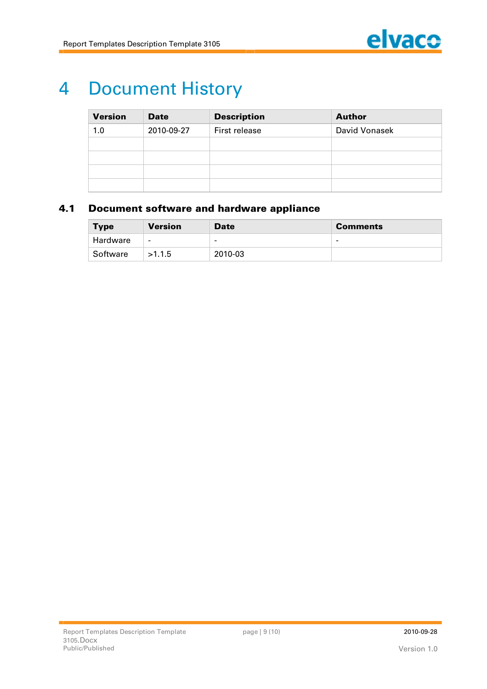

# **4 Document History**

| <b>Version</b> | <b>Date</b> | <b>Description</b> | <b>Author</b> |
|----------------|-------------|--------------------|---------------|
| 1.0            | 2010-09-27  | First release      | David Vonasek |
|                |             |                    |               |
|                |             |                    |               |
|                |             |                    |               |
|                |             |                    |               |

### **4.1 Document software and hardware appliance**

| <b>Type</b> | <b>Version</b> | <b>Date</b>              | <b>Comments</b> |
|-------------|----------------|--------------------------|-----------------|
| Hardware    | $\blacksquare$ | $\overline{\phantom{a}}$ | -               |
| Software    | >1.1.5         | 2010-03                  |                 |